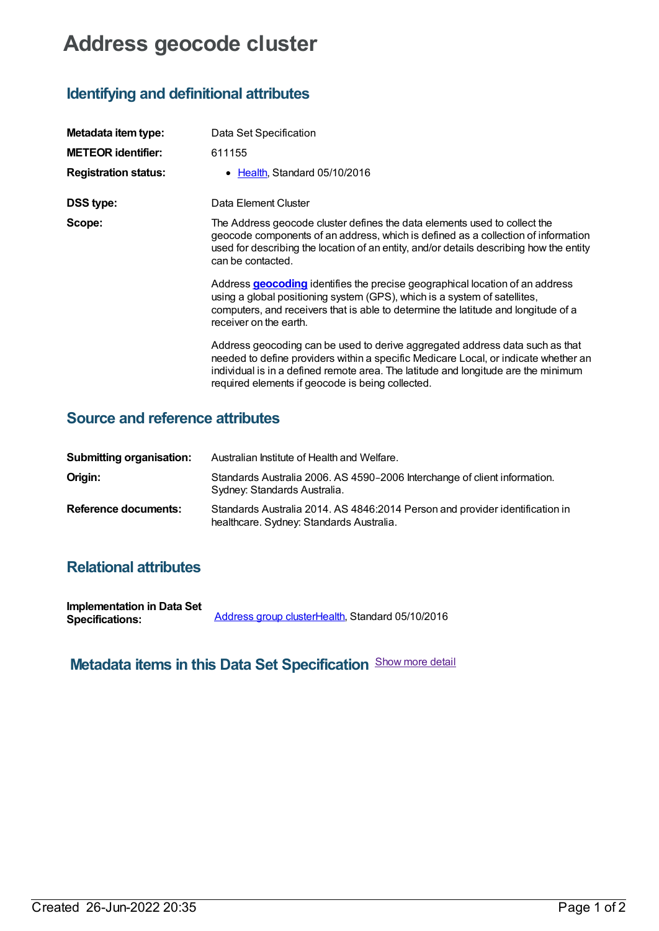# **Address geocode cluster**

### **Identifying and definitional attributes**

| Metadata item type:         | Data Set Specification                                                                                                                                                                                                                                                                                        |
|-----------------------------|---------------------------------------------------------------------------------------------------------------------------------------------------------------------------------------------------------------------------------------------------------------------------------------------------------------|
| <b>METEOR identifier:</b>   | 611155                                                                                                                                                                                                                                                                                                        |
| <b>Registration status:</b> | • Health, Standard 05/10/2016                                                                                                                                                                                                                                                                                 |
| <b>DSS type:</b>            | Data Element Cluster                                                                                                                                                                                                                                                                                          |
| Scope:                      | The Address geocode cluster defines the data elements used to collect the<br>geocode components of an address, which is defined as a collection of information<br>used for describing the location of an entity, and/or details describing how the entity<br>can be contacted.                                |
|                             | Address <b>geocoding</b> identifies the precise geographical location of an address<br>using a global positioning system (GPS), which is a system of satellites,<br>computers, and receivers that is able to determine the latitude and longitude of a<br>receiver on the earth.                              |
|                             | Address geocoding can be used to derive aggregated address data such as that<br>needed to define providers within a specific Medicare Local, or indicate whether an<br>individual is in a defined remote area. The latitude and longitude are the minimum<br>required elements if geocode is being collected. |

#### **Source and reference attributes**

| <b>Submitting organisation:</b> | Australian Institute of Health and Welfare.                                                                              |
|---------------------------------|--------------------------------------------------------------------------------------------------------------------------|
| Origin:                         | Standards Australia 2006. AS 4590-2006 Interchange of client information.<br>Sydney: Standards Australia.                |
| <b>Reference documents:</b>     | Standards Australia 2014. AS 4846:2014 Person and provider identification in<br>healthcare. Sydney: Standards Australia. |

#### **Relational attributes**

| <b>Implementation in Data Set</b> |                                                  |
|-----------------------------------|--------------------------------------------------|
| <b>Specifications:</b>            | Address group clusterHealth, Standard 05/10/2016 |

## **Metadata items in this Data Set Specification** Show more detail